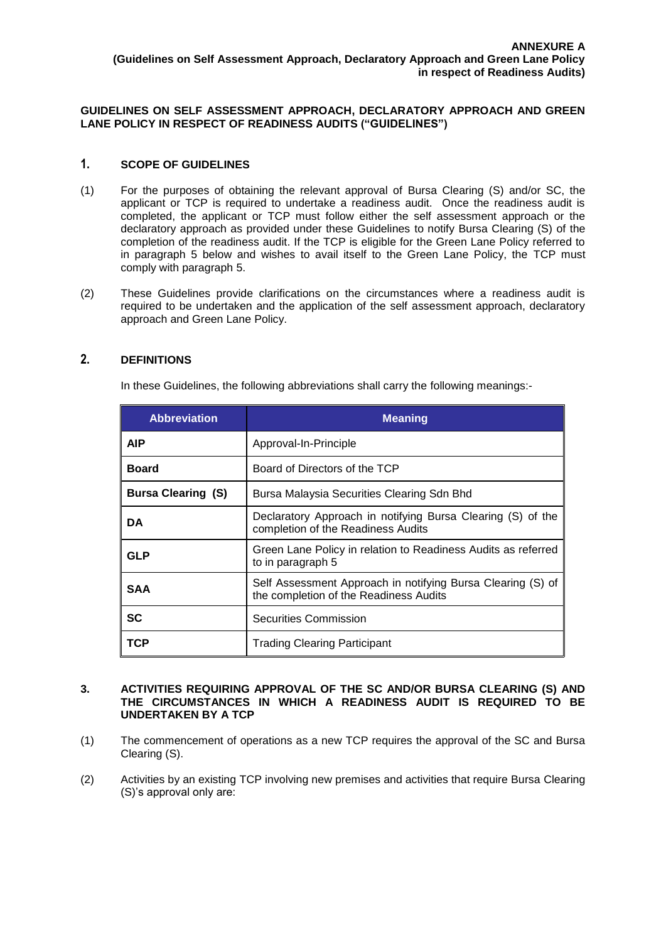## **GUIDELINES ON SELF ASSESSMENT APPROACH, DECLARATORY APPROACH AND GREEN LANE POLICY IN RESPECT OF READINESS AUDITS ("GUIDELINES")**

# **1. SCOPE OF GUIDELINES**

- (1) For the purposes of obtaining the relevant approval of Bursa Clearing (S) and/or SC, the applicant or TCP is required to undertake a readiness audit. Once the readiness audit is completed, the applicant or TCP must follow either the self assessment approach or the declaratory approach as provided under these Guidelines to notify Bursa Clearing (S) of the completion of the readiness audit. If the TCP is eligible for the Green Lane Policy referred to in paragraph 5 below and wishes to avail itself to the Green Lane Policy, the TCP must comply with paragraph 5.
- (2) These Guidelines provide clarifications on the circumstances where a readiness audit is required to be undertaken and the application of the self assessment approach, declaratory approach and Green Lane Policy.

## **2. DEFINITIONS**

In these Guidelines, the following abbreviations shall carry the following meanings:-

| <b>Abbreviation</b>       | <b>Meaning</b>                                                                                        |
|---------------------------|-------------------------------------------------------------------------------------------------------|
| <b>AIP</b>                | Approval-In-Principle                                                                                 |
| <b>Board</b>              | Board of Directors of the TCP                                                                         |
| <b>Bursa Clearing (S)</b> | Bursa Malaysia Securities Clearing Sdn Bhd                                                            |
| DA                        | Declaratory Approach in notifying Bursa Clearing (S) of the<br>completion of the Readiness Audits     |
| GLP                       | Green Lane Policy in relation to Readiness Audits as referred<br>to in paragraph 5                    |
| <b>SAA</b>                | Self Assessment Approach in notifying Bursa Clearing (S) of<br>the completion of the Readiness Audits |
| SC                        | Securities Commission                                                                                 |
| TCP                       | <b>Trading Clearing Participant</b>                                                                   |

#### **3. ACTIVITIES REQUIRING APPROVAL OF THE SC AND/OR BURSA CLEARING (S) AND THE CIRCUMSTANCES IN WHICH A READINESS AUDIT IS REQUIRED TO BE UNDERTAKEN BY A TCP**

- (1) The commencement of operations as a new TCP requires the approval of the SC and Bursa Clearing (S).
- (2) Activities by an existing TCP involving new premises and activities that require Bursa Clearing (S)'s approval only are: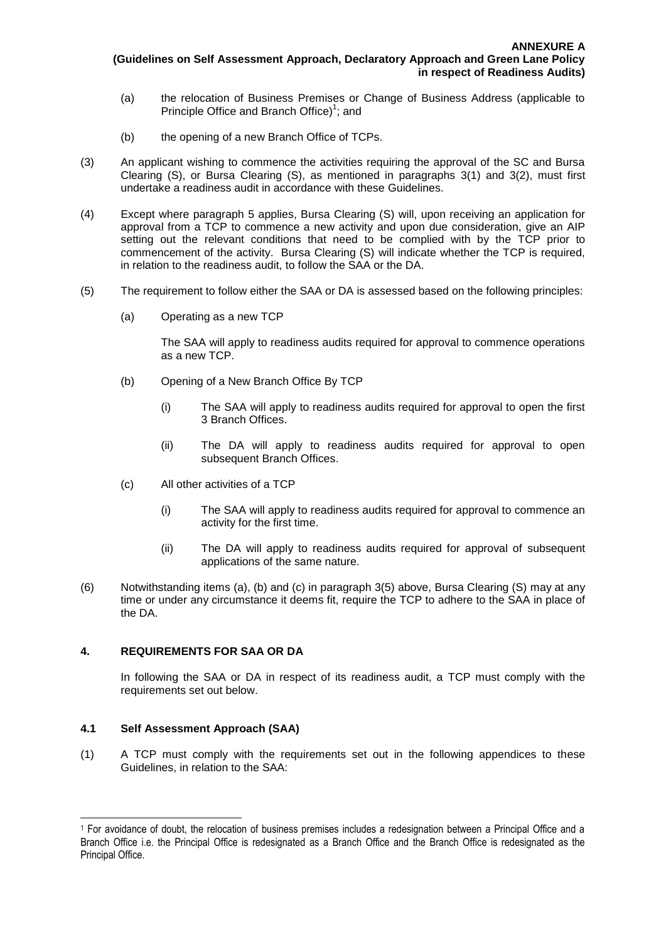- (a) the relocation of Business Premises or Change of Business Address (applicable to Principle Office and Branch Office)<sup>1</sup>; and
- (b) the opening of a new Branch Office of TCPs.
- (3) An applicant wishing to commence the activities requiring the approval of the SC and Bursa Clearing (S), or Bursa Clearing (S), as mentioned in paragraphs 3(1) and 3(2), must first undertake a readiness audit in accordance with these Guidelines.
- (4) Except where paragraph 5 applies, Bursa Clearing (S) will, upon receiving an application for approval from a TCP to commence a new activity and upon due consideration, give an AIP setting out the relevant conditions that need to be complied with by the TCP prior to commencement of the activity. Bursa Clearing (S) will indicate whether the TCP is required, in relation to the readiness audit, to follow the SAA or the DA.
- (5) The requirement to follow either the SAA or DA is assessed based on the following principles:
	- (a) Operating as a new TCP

The SAA will apply to readiness audits required for approval to commence operations as a new TCP.

- (b) Opening of a New Branch Office By TCP
	- (i) The SAA will apply to readiness audits required for approval to open the first 3 Branch Offices.
	- (ii) The DA will apply to readiness audits required for approval to open subsequent Branch Offices.
- (c) All other activities of a TCP
	- (i) The SAA will apply to readiness audits required for approval to commence an activity for the first time.
	- (ii) The DA will apply to readiness audits required for approval of subsequent applications of the same nature.
- (6) Notwithstanding items (a), (b) and (c) in paragraph 3(5) above, Bursa Clearing (S) may at any time or under any circumstance it deems fit, require the TCP to adhere to the SAA in place of the DA.

## **4. REQUIREMENTS FOR SAA OR DA**

In following the SAA or DA in respect of its readiness audit, a TCP must comply with the requirements set out below.

## **4.1 Self Assessment Approach (SAA)**

 $\overline{a}$ 

(1) A TCP must comply with the requirements set out in the following appendices to these Guidelines, in relation to the SAA:

<sup>1</sup> For avoidance of doubt, the relocation of business premises includes a redesignation between a Principal Office and a Branch Office i.e. the Principal Office is redesignated as a Branch Office and the Branch Office is redesignated as the Principal Office.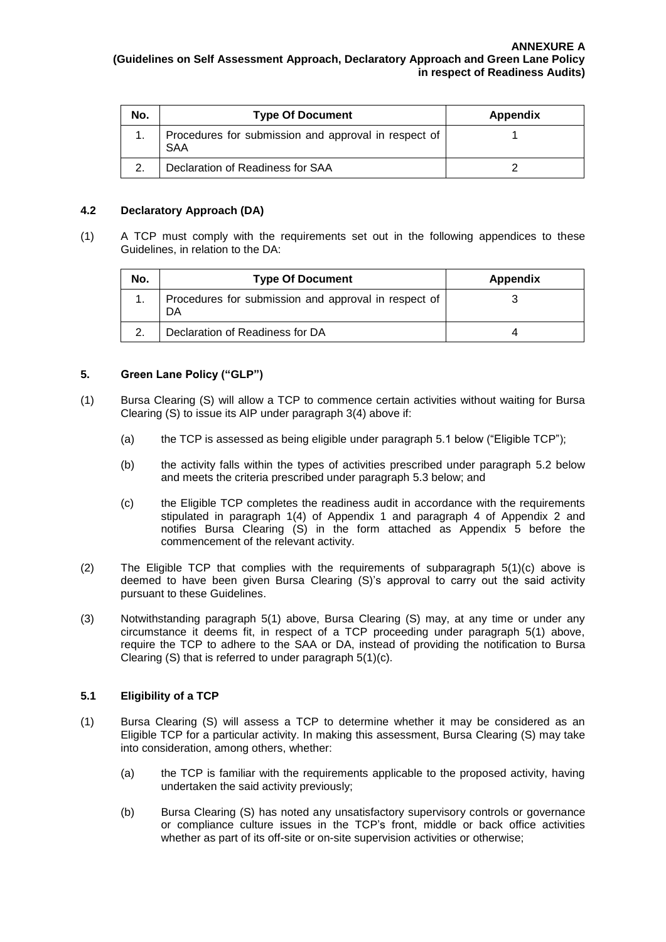| No. | <b>Type Of Document</b>                                            | <b>Appendix</b> |
|-----|--------------------------------------------------------------------|-----------------|
|     | Procedures for submission and approval in respect of<br><b>SAA</b> |                 |
|     | Declaration of Readiness for SAA                                   |                 |

## **4.2 Declaratory Approach (DA)**

(1) A TCP must comply with the requirements set out in the following appendices to these Guidelines, in relation to the DA:

| No. | <b>Type Of Document</b>                                    | Appendix |
|-----|------------------------------------------------------------|----------|
|     | Procedures for submission and approval in respect of<br>DA |          |
|     | Declaration of Readiness for DA                            |          |

# **5. Green Lane Policy ("GLP")**

- (1) Bursa Clearing (S) will allow a TCP to commence certain activities without waiting for Bursa Clearing (S) to issue its AIP under paragraph 3(4) above if:
	- (a) the TCP is assessed as being eligible under paragraph 5.1 below ("Eligible TCP");
	- (b) the activity falls within the types of activities prescribed under paragraph 5.2 below and meets the criteria prescribed under paragraph 5.3 below; and
	- (c) the Eligible TCP completes the readiness audit in accordance with the requirements stipulated in paragraph 1(4) of Appendix 1 and paragraph 4 of Appendix 2 and notifies Bursa Clearing (S) in the form attached as Appendix 5 before the commencement of the relevant activity.
- (2) The Eligible TCP that complies with the requirements of subparagraph  $5(1)(c)$  above is deemed to have been given Bursa Clearing (S)'s approval to carry out the said activity pursuant to these Guidelines.
- (3) Notwithstanding paragraph 5(1) above, Bursa Clearing (S) may, at any time or under any circumstance it deems fit, in respect of a TCP proceeding under paragraph 5(1) above, require the TCP to adhere to the SAA or DA, instead of providing the notification to Bursa Clearing (S) that is referred to under paragraph 5(1)(c).

## **5.1 Eligibility of a TCP**

- (1) Bursa Clearing (S) will assess a TCP to determine whether it may be considered as an Eligible TCP for a particular activity. In making this assessment, Bursa Clearing (S) may take into consideration, among others, whether:
	- (a) the TCP is familiar with the requirements applicable to the proposed activity, having undertaken the said activity previously;
	- (b) Bursa Clearing (S) has noted any unsatisfactory supervisory controls or governance or compliance culture issues in the TCP's front, middle or back office activities whether as part of its off-site or on-site supervision activities or otherwise;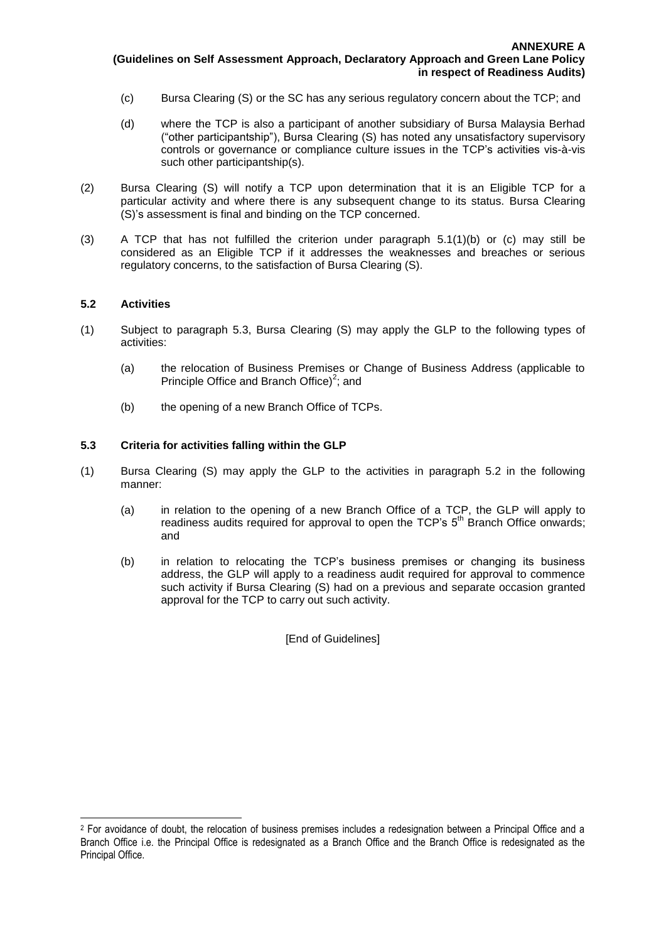- (c) Bursa Clearing (S) or the SC has any serious regulatory concern about the TCP; and
- (d) where the TCP is also a participant of another subsidiary of Bursa Malaysia Berhad ("other participantship"), Bursa Clearing (S) has noted any unsatisfactory supervisory controls or governance or compliance culture issues in the TCP's activities vis-à-vis such other participantship(s).
- (2) Bursa Clearing (S) will notify a TCP upon determination that it is an Eligible TCP for a particular activity and where there is any subsequent change to its status. Bursa Clearing (S)'s assessment is final and binding on the TCP concerned.
- (3) A TCP that has not fulfilled the criterion under paragraph 5.1(1)(b) or (c) may still be considered as an Eligible TCP if it addresses the weaknesses and breaches or serious regulatory concerns, to the satisfaction of Bursa Clearing (S).

### **5.2 Activities**

 $\overline{a}$ 

- (1) Subject to paragraph 5.3, Bursa Clearing (S) may apply the GLP to the following types of activities:
	- (a) the relocation of Business Premises or Change of Business Address (applicable to Principle Office and Branch Office)<sup>2</sup>; and
	- (b) the opening of a new Branch Office of TCPs.

### **5.3 Criteria for activities falling within the GLP**

- (1) Bursa Clearing (S) may apply the GLP to the activities in paragraph 5.2 in the following manner:
	- (a) in relation to the opening of a new Branch Office of a TCP, the GLP will apply to readiness audits required for approval to open the  $TCP's 5<sup>th</sup>$  Branch Office onwards; and
	- (b) in relation to relocating the TCP's business premises or changing its business address, the GLP will apply to a readiness audit required for approval to commence such activity if Bursa Clearing (S) had on a previous and separate occasion granted approval for the TCP to carry out such activity.

[End of Guidelines]

<sup>&</sup>lt;sup>2</sup> For avoidance of doubt, the relocation of business premises includes a redesignation between a Principal Office and a Branch Office i.e. the Principal Office is redesignated as a Branch Office and the Branch Office is redesignated as the Principal Office.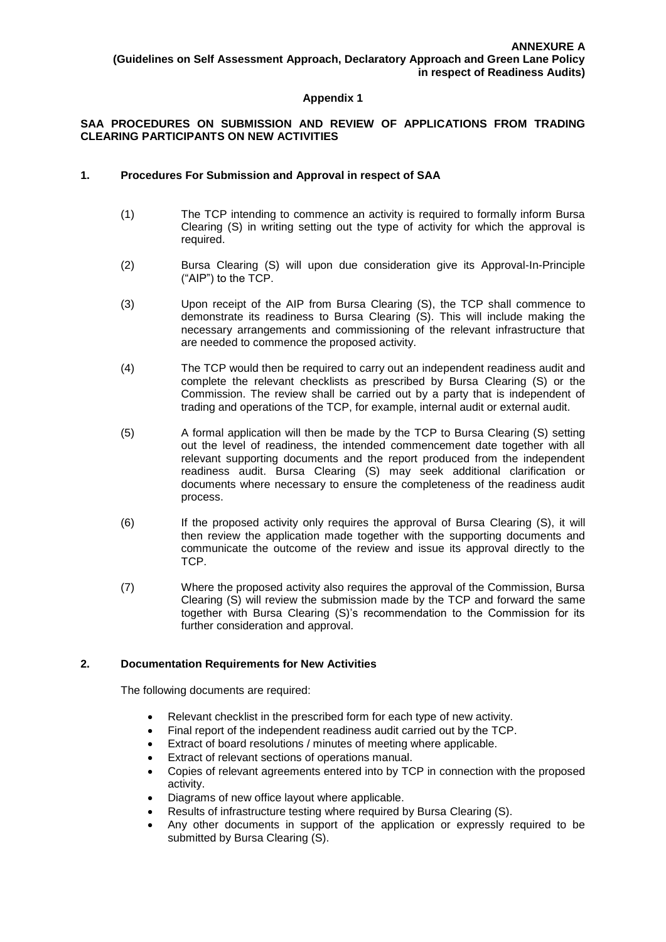# **SAA PROCEDURES ON SUBMISSION AND REVIEW OF APPLICATIONS FROM TRADING CLEARING PARTICIPANTS ON NEW ACTIVITIES**

## **1. Procedures For Submission and Approval in respect of SAA**

- (1) The TCP intending to commence an activity is required to formally inform Bursa Clearing (S) in writing setting out the type of activity for which the approval is required.
- (2) Bursa Clearing (S) will upon due consideration give its Approval-In-Principle ("AIP") to the TCP.
- (3) Upon receipt of the AIP from Bursa Clearing (S), the TCP shall commence to demonstrate its readiness to Bursa Clearing (S). This will include making the necessary arrangements and commissioning of the relevant infrastructure that are needed to commence the proposed activity.
- (4) The TCP would then be required to carry out an independent readiness audit and complete the relevant checklists as prescribed by Bursa Clearing (S) or the Commission. The review shall be carried out by a party that is independent of trading and operations of the TCP, for example, internal audit or external audit.
- (5) A formal application will then be made by the TCP to Bursa Clearing (S) setting out the level of readiness, the intended commencement date together with all relevant supporting documents and the report produced from the independent readiness audit. Bursa Clearing (S) may seek additional clarification or documents where necessary to ensure the completeness of the readiness audit process.
- (6) If the proposed activity only requires the approval of Bursa Clearing (S), it will then review the application made together with the supporting documents and communicate the outcome of the review and issue its approval directly to the TCP.
- (7) Where the proposed activity also requires the approval of the Commission, Bursa Clearing (S) will review the submission made by the TCP and forward the same together with Bursa Clearing (S)'s recommendation to the Commission for its further consideration and approval.

## **2. Documentation Requirements for New Activities**

The following documents are required:

- Relevant checklist in the prescribed form for each type of new activity.
- Final report of the independent readiness audit carried out by the TCP.
- Extract of board resolutions / minutes of meeting where applicable.
- Extract of relevant sections of operations manual.
- Copies of relevant agreements entered into by TCP in connection with the proposed activity.
- Diagrams of new office layout where applicable.
- Results of infrastructure testing where required by Bursa Clearing (S).
- Any other documents in support of the application or expressly required to be submitted by Bursa Clearing (S).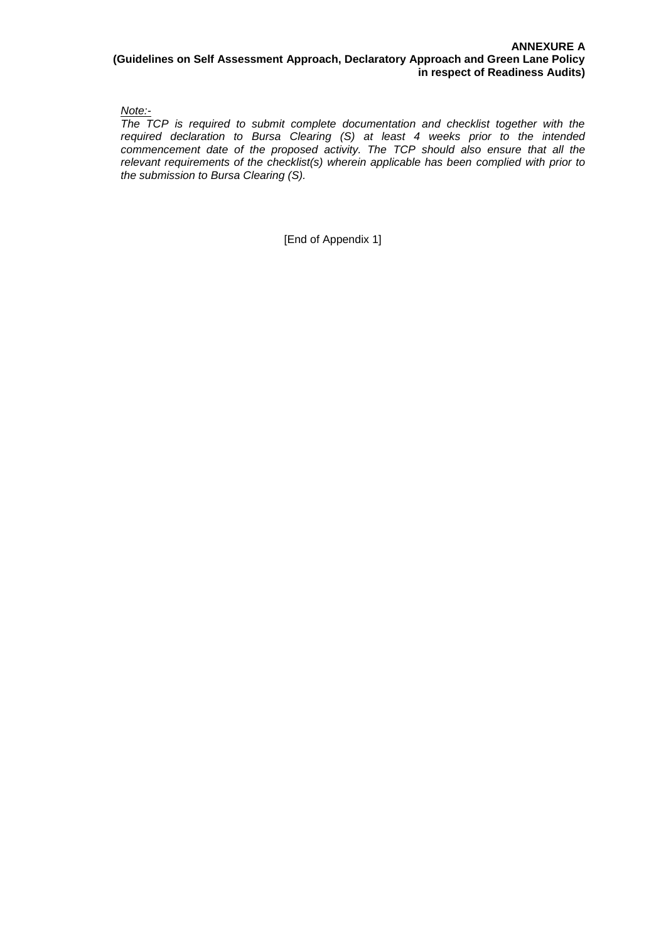*Note:-*

*The TCP is required to submit complete documentation and checklist together with the required declaration to Bursa Clearing (S) at least 4 weeks prior to the intended commencement date of the proposed activity. The TCP should also ensure that all the relevant requirements of the checklist(s) wherein applicable has been complied with prior to the submission to Bursa Clearing (S).*

[End of Appendix 1]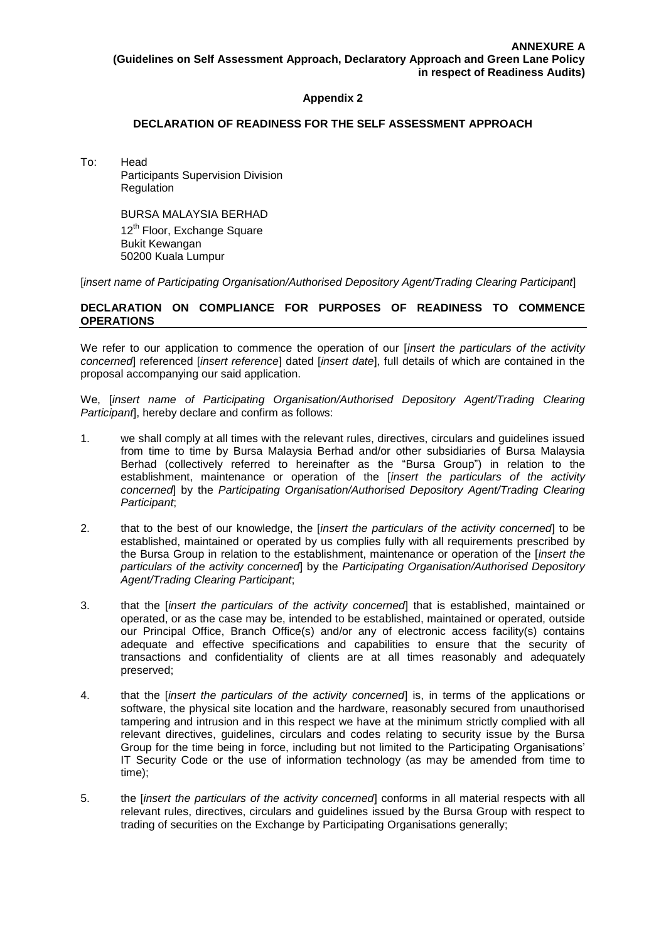### **DECLARATION OF READINESS FOR THE SELF ASSESSMENT APPROACH**

To: Head Participants Supervision Division Regulation

> BURSA MALAYSIA BERHAD 12<sup>th</sup> Floor, Exchange Square Bukit Kewangan 50200 Kuala Lumpur

[*insert name of Participating Organisation/Authorised Depository Agent/Trading Clearing Participant*]

### **DECLARATION ON COMPLIANCE FOR PURPOSES OF READINESS TO COMMENCE OPERATIONS**

We refer to our application to commence the operation of our [*insert the particulars of the activity concerned*] referenced [*insert reference*] dated [*insert date*], full details of which are contained in the proposal accompanying our said application.

We, [*insert name of Participating Organisation/Authorised Depository Agent/Trading Clearing Participant*], hereby declare and confirm as follows:

- 1. we shall comply at all times with the relevant rules, directives, circulars and guidelines issued from time to time by Bursa Malaysia Berhad and/or other subsidiaries of Bursa Malaysia Berhad (collectively referred to hereinafter as the "Bursa Group") in relation to the establishment, maintenance or operation of the [*insert the particulars of the activity concerned*] by the *Participating Organisation/Authorised Depository Agent/Trading Clearing Participant*;
- 2. that to the best of our knowledge, the [*insert the particulars of the activity concerned*] to be established, maintained or operated by us complies fully with all requirements prescribed by the Bursa Group in relation to the establishment, maintenance or operation of the [*insert the particulars of the activity concerned*] by the *Participating Organisation/Authorised Depository Agent/Trading Clearing Participant*;
- 3. that the [*insert the particulars of the activity concerned*] that is established, maintained or operated, or as the case may be, intended to be established, maintained or operated, outside our Principal Office, Branch Office(s) and/or any of electronic access facility(s) contains adequate and effective specifications and capabilities to ensure that the security of transactions and confidentiality of clients are at all times reasonably and adequately preserved;
- 4. that the [*insert the particulars of the activity concerned*] is, in terms of the applications or software, the physical site location and the hardware, reasonably secured from unauthorised tampering and intrusion and in this respect we have at the minimum strictly complied with all relevant directives, guidelines, circulars and codes relating to security issue by the Bursa Group for the time being in force, including but not limited to the Participating Organisations' IT Security Code or the use of information technology (as may be amended from time to time);
- 5. the [*insert the particulars of the activity concerned*] conforms in all material respects with all relevant rules, directives, circulars and guidelines issued by the Bursa Group with respect to trading of securities on the Exchange by Participating Organisations generally;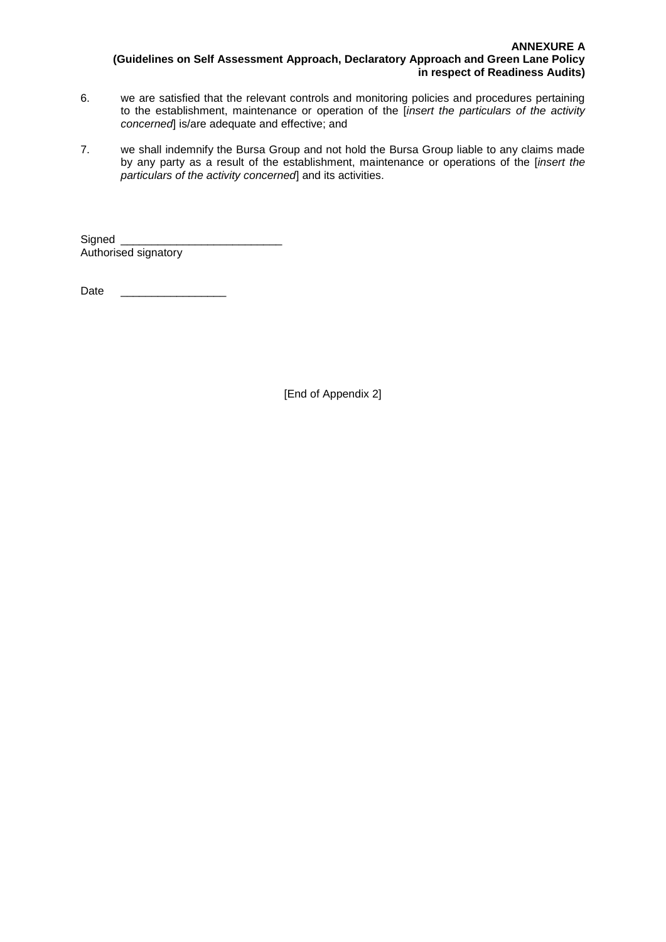- 6. we are satisfied that the relevant controls and monitoring policies and procedures pertaining to the establishment, maintenance or operation of the [*insert the particulars of the activity concerned*] is/are adequate and effective; and
- 7. we shall indemnify the Bursa Group and not hold the Bursa Group liable to any claims made by any party as a result of the establishment, maintenance or operations of the [*insert the particulars of the activity concerned*] and its activities.

Signed Authorised signatory

Date  $\Box$ 

[End of Appendix 2]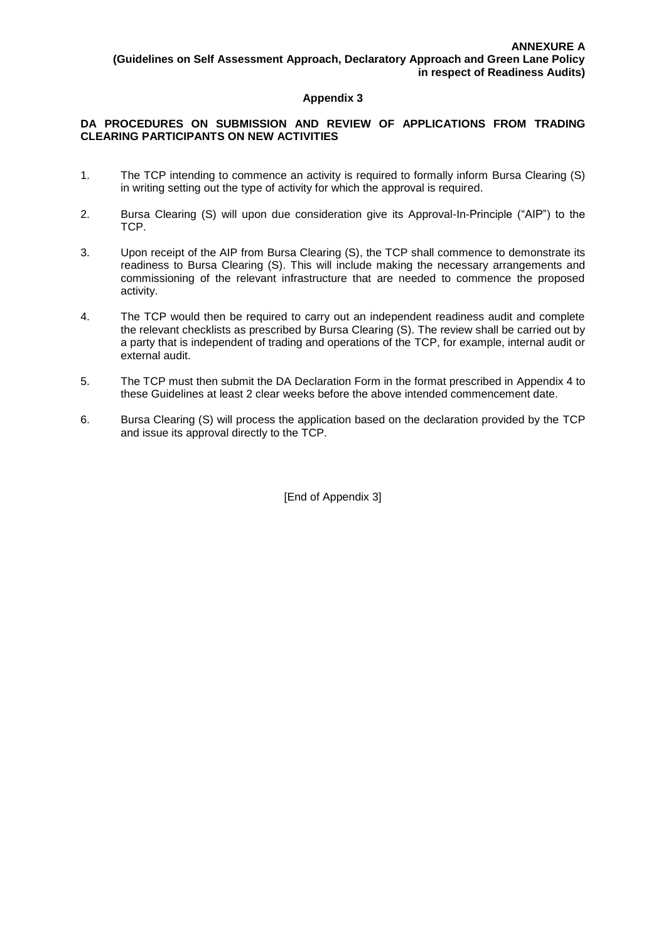## **DA PROCEDURES ON SUBMISSION AND REVIEW OF APPLICATIONS FROM TRADING CLEARING PARTICIPANTS ON NEW ACTIVITIES**

- 1. The TCP intending to commence an activity is required to formally inform Bursa Clearing (S) in writing setting out the type of activity for which the approval is required.
- 2. Bursa Clearing (S) will upon due consideration give its Approval-In-Principle ("AIP") to the TCP.
- 3. Upon receipt of the AIP from Bursa Clearing (S), the TCP shall commence to demonstrate its readiness to Bursa Clearing (S). This will include making the necessary arrangements and commissioning of the relevant infrastructure that are needed to commence the proposed activity.
- 4. The TCP would then be required to carry out an independent readiness audit and complete the relevant checklists as prescribed by Bursa Clearing (S). The review shall be carried out by a party that is independent of trading and operations of the TCP, for example, internal audit or external audit.
- 5. The TCP must then submit the DA Declaration Form in the format prescribed in Appendix 4 to these Guidelines at least 2 clear weeks before the above intended commencement date.
- 6. Bursa Clearing (S) will process the application based on the declaration provided by the TCP and issue its approval directly to the TCP.

**[End of Appendix 3]**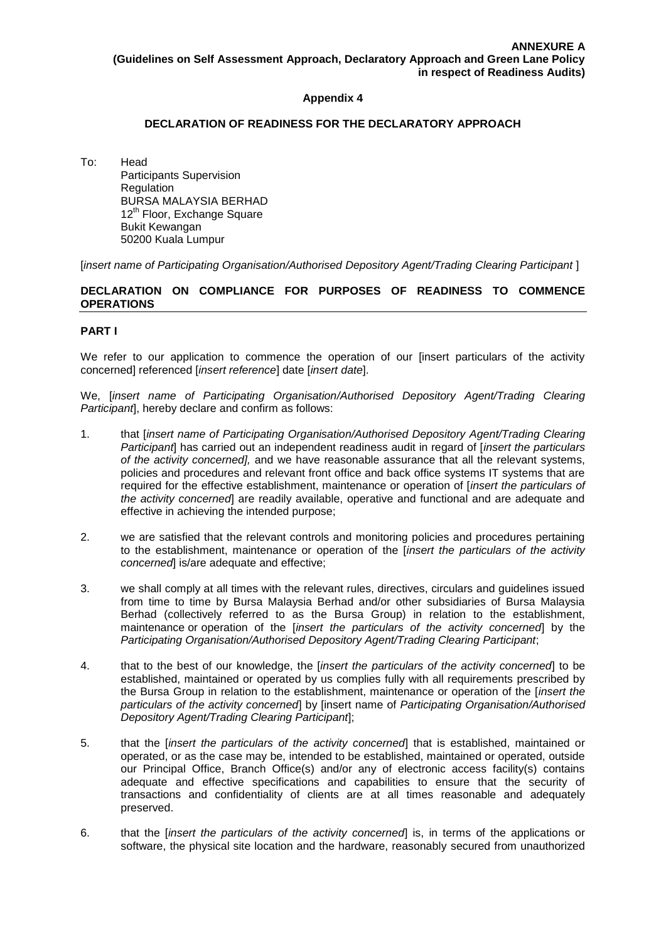### **DECLARATION OF READINESS FOR THE DECLARATORY APPROACH**

To: Head Participants Supervision Regulation BURSA MALAYSIA BERHAD 12<sup>th</sup> Floor, Exchange Square Bukit Kewangan 50200 Kuala Lumpur

[*insert name of Participating Organisation/Authorised Depository Agent/Trading Clearing Participant* ]

### **DECLARATION ON COMPLIANCE FOR PURPOSES OF READINESS TO COMMENCE OPERATIONS**

### **PART I**

We refer to our application to commence the operation of our [insert particulars of the activity concerned] referenced [*insert reference*] date [*insert date*].

We, [*insert name of Participating Organisation/Authorised Depository Agent/Trading Clearing Participant*], hereby declare and confirm as follows:

- 1. that [*insert name of Participating Organisation/Authorised Depository Agent/Trading Clearing Participant*] has carried out an independent readiness audit in regard of [*insert the particulars of the activity concerned],* and we have reasonable assurance that all the relevant systems, policies and procedures and relevant front office and back office systems IT systems that are required for the effective establishment, maintenance or operation of [*insert the particulars of the activity concerned*] are readily available, operative and functional and are adequate and effective in achieving the intended purpose;
- 2. we are satisfied that the relevant controls and monitoring policies and procedures pertaining to the establishment, maintenance or operation of the [*insert the particulars of the activity concerned*] is/are adequate and effective;
- 3. we shall comply at all times with the relevant rules, directives, circulars and guidelines issued from time to time by Bursa Malaysia Berhad and/or other subsidiaries of Bursa Malaysia Berhad (collectively referred to as the Bursa Group) in relation to the establishment, maintenance or operation of the [*insert the particulars of the activity concerned*] by the *Participating Organisation/Authorised Depository Agent/Trading Clearing Participant*;
- 4. that to the best of our knowledge, the [*insert the particulars of the activity concerned*] to be established, maintained or operated by us complies fully with all requirements prescribed by the Bursa Group in relation to the establishment, maintenance or operation of the [*insert the particulars of the activity concerned*] by [insert name of *Participating Organisation/Authorised Depository Agent/Trading Clearing Participant*];
- 5. that the [*insert the particulars of the activity concerned*] that is established, maintained or operated, or as the case may be, intended to be established, maintained or operated, outside our Principal Office, Branch Office(s) and/or any of electronic access facility(s) contains adequate and effective specifications and capabilities to ensure that the security of transactions and confidentiality of clients are at all times reasonable and adequately preserved.
- 6. that the [*insert the particulars of the activity concerned*] is, in terms of the applications or software, the physical site location and the hardware, reasonably secured from unauthorized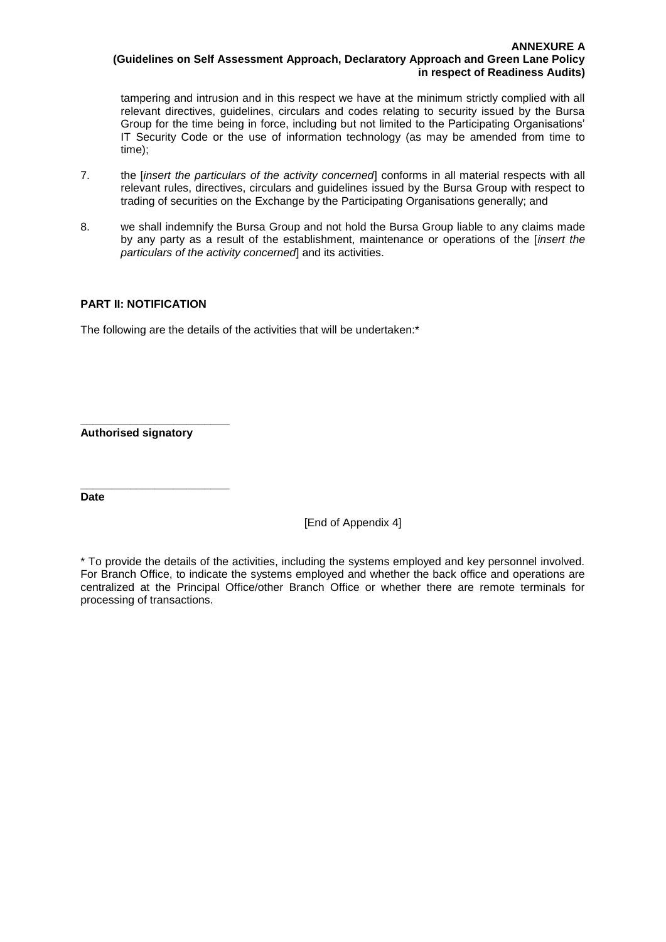tampering and intrusion and in this respect we have at the minimum strictly complied with all relevant directives, guidelines, circulars and codes relating to security issued by the Bursa Group for the time being in force, including but not limited to the Participating Organisations' IT Security Code or the use of information technology (as may be amended from time to time);

- 7. the [*insert the particulars of the activity concerned*] conforms in all material respects with all relevant rules, directives, circulars and guidelines issued by the Bursa Group with respect to trading of securities on the Exchange by the Participating Organisations generally; and
- 8. we shall indemnify the Bursa Group and not hold the Bursa Group liable to any claims made by any party as a result of the establishment, maintenance or operations of the [*insert the particulars of the activity concerned*] and its activities.

## **PART II: NOTIFICATION**

The following are the details of the activities that will be undertaken:\*

**\_\_\_\_\_\_\_\_\_\_\_\_\_\_\_\_\_\_\_\_\_\_\_\_ Authorised signatory**

**\_\_\_\_\_\_\_\_\_\_\_\_\_\_\_\_\_\_\_\_\_\_\_\_**

**Date**

[End of Appendix 4]

\* To provide the details of the activities, including the systems employed and key personnel involved. For Branch Office, to indicate the systems employed and whether the back office and operations are centralized at the Principal Office/other Branch Office or whether there are remote terminals for processing of transactions.